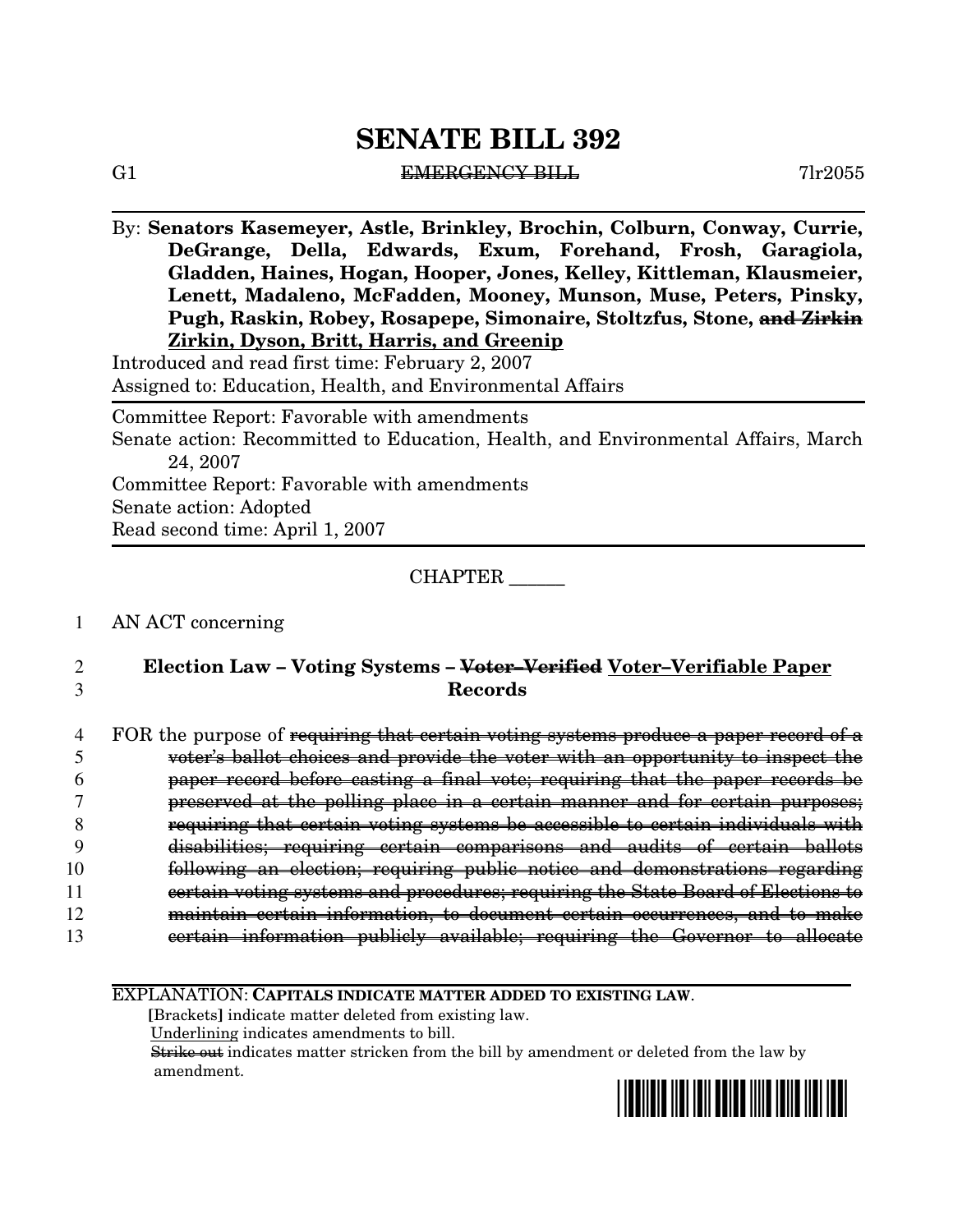#### G1 BHERGENCY BILL 61  $\sqrt{2055}$

By: **Senators Kasemeyer, Astle, Brinkley, Brochin, Colburn, Conway, Currie, DeGrange, Della, Edwards, Exum, Forehand, Frosh, Garagiola, Gladden, Haines, Hogan, Hooper, Jones, Kelley, Kittleman, Klausmeier, Lenett, Madaleno, McFadden, Mooney, Munson, Muse, Peters, Pinsky, Pugh, Raskin, Robey, Rosapepe, Simonaire, Stoltzfus, Stone, and Zirkin Zirkin, Dyson, Britt, Harris, and Greenip**

Introduced and read first time: February 2, 2007 Assigned to: Education, Health, and Environmental Affairs

Committee Report: Favorable with amendments

Senate action: Recommitted to Education, Health, and Environmental Affairs, March 24, 2007

Committee Report: Favorable with amendments Senate action: Adopted Read second time: April 1, 2007

## CHAPTER \_\_\_\_\_\_

#### 1 AN ACT concerning

2 **Election Law – Voting Systems – Voter–Verified Voter–Verifiable Paper** 3 **Records**

| FOR the purpose of <del>requiring that certain voting systems produce a paper record of a</del>                                                                                            |
|--------------------------------------------------------------------------------------------------------------------------------------------------------------------------------------------|
| <u>uatar's hallat abaigas and nrauda tha uatar with an annartunity to inspart tha</u><br>vuusi s Dailuu Chulces ahu provius ule vuusi with ah uppurtumity to mispect ule                   |
| percy researd before costing a final yete, requiring that the percy recepts<br><del>papei tecoru belore caschig a himar voce, regunting chac che papei tecorus de</del>                    |
| procented of the polling place in a cortain mannor and tor cortain purposes<br><del>proserved at the politic place in a certain manner and tol certain purposes,</del>                     |
| requirment that cortain vating guatama he accouple to cortain individuals with<br><del>requiring that tertain vollig systems be attessible to tertain murrituals</del>                     |
| 0.33477<br>diaahilitiaa'<br><u>noquempo qontoun qompomaqona qud</u><br>20.00000<br>unuwiituvo.<br>$\overline{\phantom{a}1}$ vqunniq<br><del>ana</del><br>aaaw<br>$\mathbf{u}$              |
| tollowing an election: requiring public potice and demonstrations regarding<br><del>юноwing an стесеноп, гедантид распе посее ана аспольстастоны гедаганц</del>                            |
| eqtain vating quatama and procedures; requiring the State Reard of Flections to<br><del>certam voting systems and procedures, requiring the Dtate D0ard 01 Bicch018 to</del>               |
| to decument contain commonoger and to make<br>10100000000000<br><u>mountain agus air</u><br><del>сегати ппогнасион, со аосатнене сегати оссатенсев, ана со тнаке</del><br>1111011111011111 |
| intermetion publicity everyble requirement the Coverance to ellecte<br><u> กาฬ† กาฬ</u><br><del>certam mitumatuur pubnery avanabie, regun'nig the Governor to anocate</del>                |

#### EXPLANATION: **CAPITALS INDICATE MATTER ADDED TO EXISTING LAW**.

**[**Brackets**]** indicate matter deleted from existing law. Underlining indicates amendments to bill.

Strike out indicates matter stricken from the bill by amendment or deleted from the law by amendment.

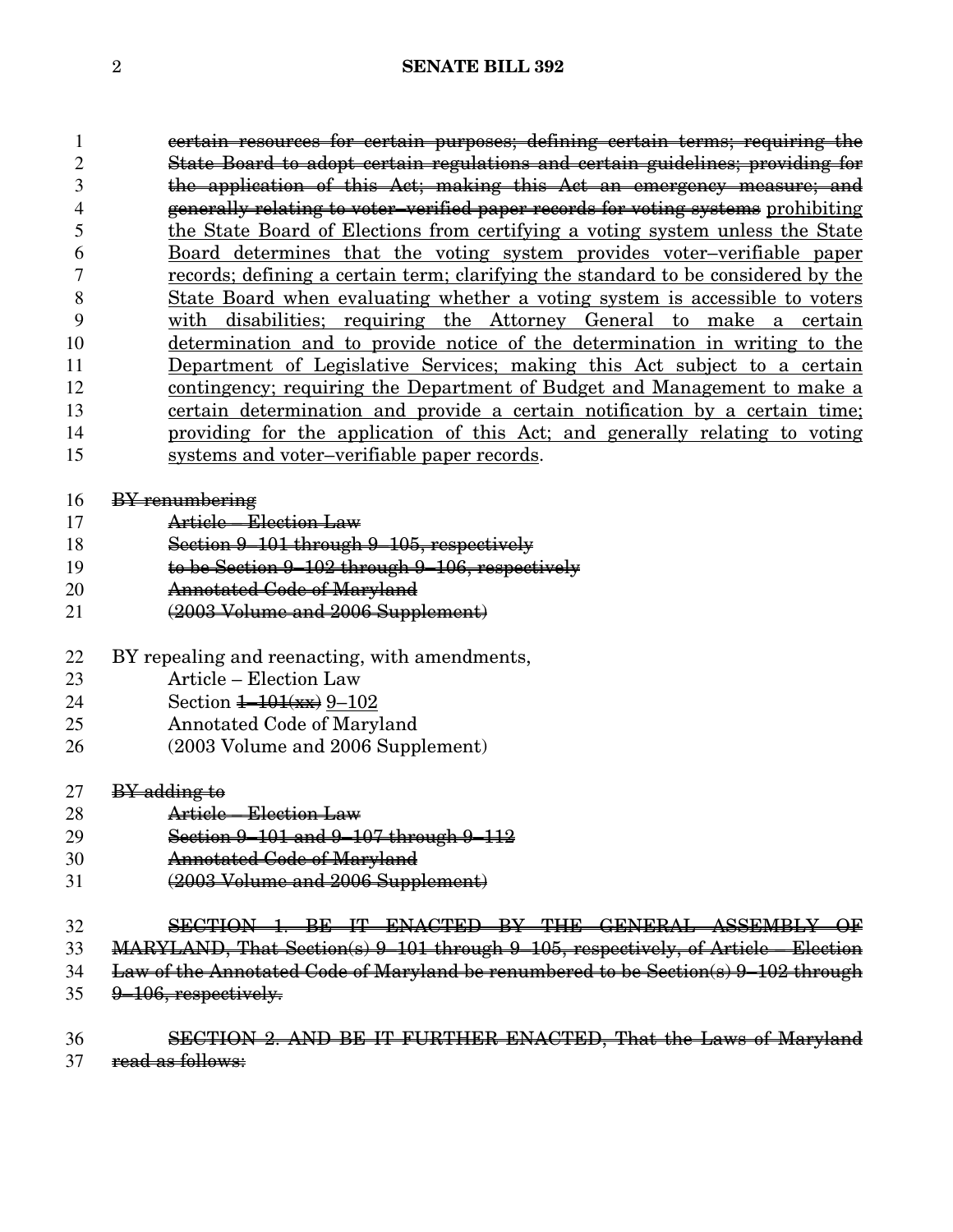| 1  | eertain resources for certain purposes; defining certain terms; requiring the      |  |  |  |
|----|------------------------------------------------------------------------------------|--|--|--|
| 2  | State Board to adopt certain regulations and certain guidelines; providing for     |  |  |  |
| 3  | the application of this Act; making this Act an emergency measure; and             |  |  |  |
| 4  | generally relating to voter-verified paper records for voting systems prohibiting  |  |  |  |
| 5  | the State Board of Elections from certifying a voting system unless the State      |  |  |  |
| 6  | Board determines that the voting system provides voter-verifiable paper            |  |  |  |
| 7  | records; defining a certain term; clarifying the standard to be considered by the  |  |  |  |
| 8  | <u>State Board when evaluating whether a voting system is accessible to voters</u> |  |  |  |
| 9  | with disabilities; requiring the Attorney General to make a certain                |  |  |  |
| 10 | determination and to provide notice of the determination in writing to the         |  |  |  |
| 11 | <u>Department of Legislative Services; making this Act subject to a certain</u>    |  |  |  |
| 12 | contingency; requiring the Department of Budget and Management to make a           |  |  |  |
| 13 | <u>certain determination and provide a certain notification by a certain time</u>  |  |  |  |
| 14 | providing for the application of this Act; and generally relating to voting        |  |  |  |
| 15 | systems and voter-verifiable paper records.                                        |  |  |  |
|    |                                                                                    |  |  |  |
| 16 | BY renumbering                                                                     |  |  |  |
| 17 | Article - Election Law                                                             |  |  |  |
| 18 | Section 9-101 through 9-105, respectively                                          |  |  |  |
| 19 | to be Section 9-102 through 9-106, respectively                                    |  |  |  |
| 20 | Annotated Code of Maryland                                                         |  |  |  |
| 21 | (2003 Volume and 2006 Supplement)                                                  |  |  |  |
| 22 | BY repealing and reenacting, with amendments,                                      |  |  |  |
| 23 | Article - Election Law                                                             |  |  |  |
| 24 | Section $\frac{1-101(x)}{x}$ 9-102                                                 |  |  |  |
| 25 | Annotated Code of Maryland                                                         |  |  |  |
| 26 | (2003 Volume and 2006 Supplement)                                                  |  |  |  |
| 27 | <b>BY</b> adding to                                                                |  |  |  |
| 28 | Article - Election Law                                                             |  |  |  |
| 29 | Section 9-101 and 9-107 through 9-112                                              |  |  |  |
| 30 | <b>Annotated Code of Maryland</b>                                                  |  |  |  |
| 31 | (2003 Volume and 2006 Supplement)                                                  |  |  |  |
| 32 | SECTION 1. BE IT ENACTED BY THE GENERAL ASSEMBLY OF                                |  |  |  |
| 33 | MARYLAND, That Section(s) 9-101 through 9-105, respectively, of Article - Election |  |  |  |
| 34 | Law of the Annotated Code of Maryland be renumbered to be Section(s) 9-102 through |  |  |  |
| 35 | 9–106, respectively.                                                               |  |  |  |

36 SECTION 2. AND BE IT FURTHER ENACTED, That the Laws of Maryland read as follows: read as follows: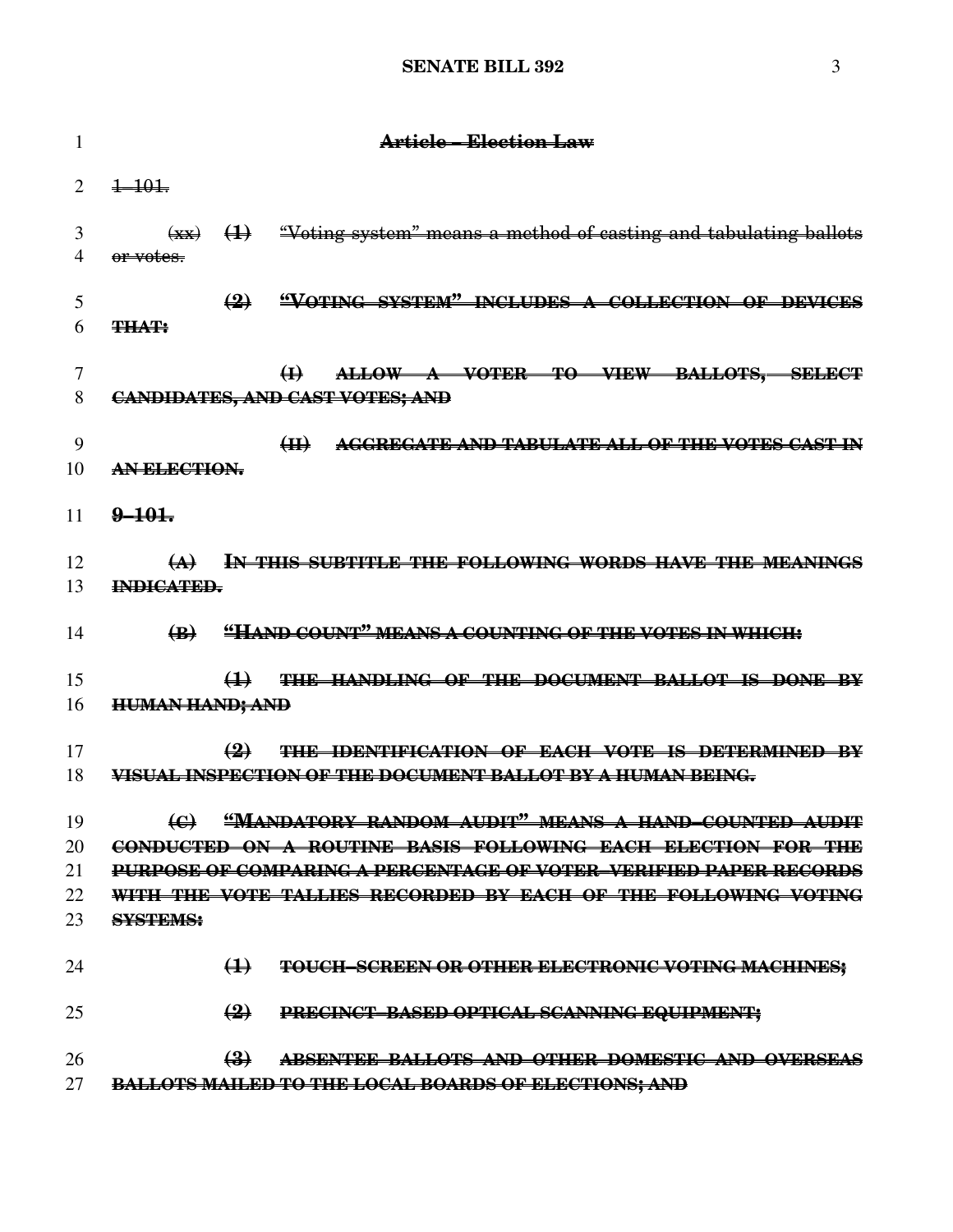| 1                    | Article – Election Law                                                                                                                                                                                                                                                                                              |
|----------------------|---------------------------------------------------------------------------------------------------------------------------------------------------------------------------------------------------------------------------------------------------------------------------------------------------------------------|
| $\overline{2}$       | $\frac{1}{2}$ $\frac{1}{2}$ $\frac{1}{2}$ $\frac{1}{2}$ $\frac{1}{2}$ $\frac{1}{2}$ $\frac{1}{2}$ $\frac{1}{2}$ $\frac{1}{2}$ $\frac{1}{2}$ $\frac{1}{2}$ $\frac{1}{2}$ $\frac{1}{2}$ $\frac{1}{2}$ $\frac{1}{2}$ $\frac{1}{2}$ $\frac{1}{2}$ $\frac{1}{2}$ $\frac{1}{2}$ $\frac{1}{2}$ $\frac{1}{2}$ $\frac{1}{2}$ |
| 3<br>$\overline{4}$  | $\overrightarrow{xx}$ $(1)$ "Voting system" means a method of casting and tabulating ballots<br>or votes.                                                                                                                                                                                                           |
| 5<br>6               | (2) "VOTING SYSTEM" INCLUDES A COLLECTION OF DEVICES<br><b>THAT:</b>                                                                                                                                                                                                                                                |
| $\overline{7}$<br>8  | ALLOW A VOTER TO VIEW BALLOTS, SELECT<br>$\bigoplus$<br><b>CANDIDATES, AND CAST VOTES; AND</b>                                                                                                                                                                                                                      |
| 9<br>10              | H<br>AGGREGATE AND TABULATE ALL OF THE VOTES CAST IN<br>AN ELECTION.                                                                                                                                                                                                                                                |
| 11                   | $2 - 101$                                                                                                                                                                                                                                                                                                           |
| 12<br>13             | (A) IN THIS SUBTITLE THE FOLLOWING WORDS HAVE THE MEANINGS<br>INDICATED.                                                                                                                                                                                                                                            |
| 14                   | (B) "HAND COUNT" MEANS A COUNTING OF THE VOTES IN WHICH:                                                                                                                                                                                                                                                            |
| 15<br>16             | (1) THE HANDLING OF THE DOCUMENT BALLOT IS DONE BY<br><b>HUMAN HAND; AND</b>                                                                                                                                                                                                                                        |
| 17<br>18             | $\left( 2\right)$<br>THE IDENTIFICATION OF EACH VOTE IS DETERMINED BY<br><u>VISUAL INSPECTION OF THE DOCUMENT BALLOT BY A HUMAN BEING.</u>                                                                                                                                                                          |
| 19<br>20<br>21<br>22 | (C) "MANDATORY RANDOM AUDIT" MEANS A HAND-COUNTED AUDIT<br>CONDUCTED ON A ROUTINE BASIS FOLLOWING EACH ELECTION FOR THE<br><b>PURPOSE OF COMPARING A PERCENTAGE OF VOTER-VERIFIED PAPER RECORDS</b><br>WITH THE VOTE TALLIES RECORDED BY EACH OF THE FOLLOWING VOTING                                               |
| 23                   | <b>SYSTEMS:</b>                                                                                                                                                                                                                                                                                                     |
| 24<br>25             | $\bigoplus$<br>TOUCH-SCREEN OR OTHER ELECTRONIC VOTING MACHINES;<br>$\left(2\right)$<br>PRECINCT-BASED OPTICAL SCANNING EQUIPMENT;                                                                                                                                                                                  |
| 26<br>27             | $\left(\frac{3}{2}\right)$<br>ABSENTEE BALLOTS AND OTHER DOMESTIC AND OVERSEAS<br>BALLOTS MAILED TO THE LOCAL BOARDS OF ELECTIONS; AND                                                                                                                                                                              |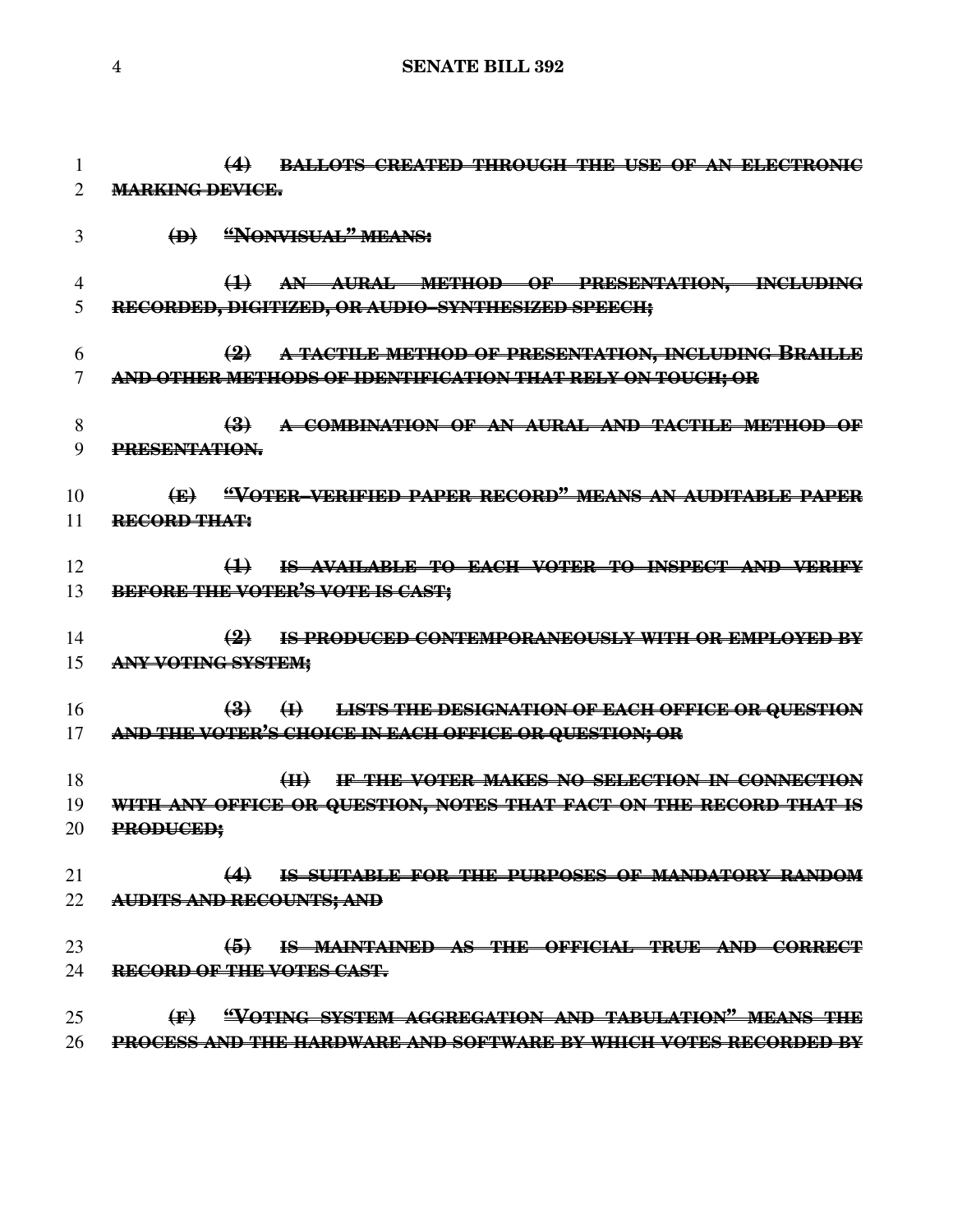```
4 SENATE BILL 392
```
 **(4) BALLOTS CREATED THROUGH THE USE OF AN ELECTRONIC MARKING DEVICE. (D) "NONVISUAL" MEANS: (1) AN AURAL METHOD OF PRESENTATION, INCLUDING RECORDED, DIGITIZED, OR AUDIO–SYNTHESIZED SPEECH; (2) A TACTILE METHOD OF PRESENTATION, INCLUDING BRAILLE AND OTHER METHODS OF IDENTIFICATION THAT RELY ON TOUCH; OR (3) A COMBINATION OF AN AURAL AND TACTILE METHOD OF PRESENTATION. (E) "VOTER–VERIFIED PAPER RECORD" MEANS AN AUDITABLE PAPER RECORD THAT: (1) IS AVAILABLE TO EACH VOTER TO INSPECT AND VERIFY BEFORE THE VOTER'S VOTE IS CAST; (2) IS PRODUCED CONTEMPORANEOUSLY WITH OR EMPLOYED BY ANY VOTING SYSTEM; (3) (I) LISTS THE DESIGNATION OF EACH OFFICE OR QUESTION AND THE VOTER'S CHOICE IN EACH OFFICE OR QUESTION; OR (II) IF THE VOTER MAKES NO SELECTION IN CONNECTION WITH ANY OFFICE OR QUESTION, NOTES THAT FACT ON THE RECORD THAT IS PRODUCED; (4) IS SUITABLE FOR THE PURPOSES OF MANDATORY RANDOM AUDITS AND RECOUNTS; AND (5) IS MAINTAINED AS THE OFFICIAL TRUE AND CORRECT RECORD OF THE VOTES CAST. (F) "VOTING SYSTEM AGGREGATION AND TABULATION" MEANS THE PROCESS AND THE HARDWARE AND SOFTWARE BY WHICH VOTES RECORDED BY**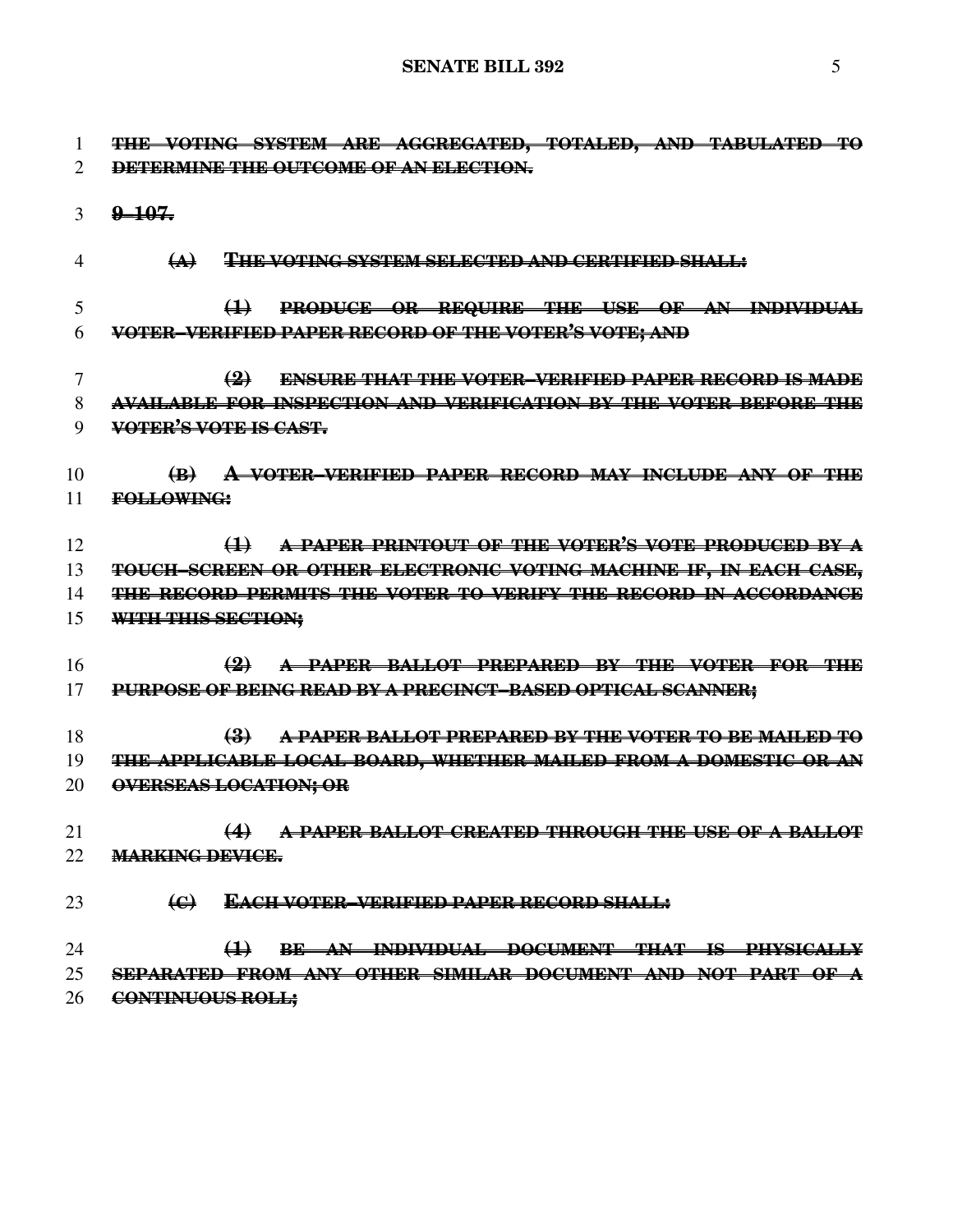**THE VOTING SYSTEM ARE AGGREGATED, TOTALED, AND TABULATED TO DETERMINE THE OUTCOME OF AN ELECTION. 9–107. (A) THE VOTING SYSTEM SELECTED AND CERTIFIED SHALL: (1) PRODUCE OR REQUIRE THE USE OF AN INDIVIDUAL VOTER–VERIFIED PAPER RECORD OF THE VOTER'S VOTE; AND (2) ENSURE THAT THE VOTER–VERIFIED PAPER RECORD IS MADE AVAILABLE FOR INSPECTION AND VERIFICATION BY THE VOTER BEFORE THE VOTER'S VOTE IS CAST. (B) A VOTER–VERIFIED PAPER RECORD MAY INCLUDE ANY OF THE FOLLOWING: (1) A PAPER PRINTOUT OF THE VOTER'S VOTE PRODUCED BY A TOUCH–SCREEN OR OTHER ELECTRONIC VOTING MACHINE IF, IN EACH CASE, THE RECORD PERMITS THE VOTER TO VERIFY THE RECORD IN ACCORDANCE WITH THIS SECTION; (2) A PAPER BALLOT PREPARED BY THE VOTER FOR THE PURPOSE OF BEING READ BY A PRECINCT–BASED OPTICAL SCANNER; (3) A PAPER BALLOT PREPARED BY THE VOTER TO BE MAILED TO THE APPLICABLE LOCAL BOARD, WHETHER MAILED FROM A DOMESTIC OR AN OVERSEAS LOCATION; OR (4) A PAPER BALLOT CREATED THROUGH THE USE OF A BALLOT MARKING DEVICE. (C) EACH VOTER–VERIFIED PAPER RECORD SHALL: (1) BE AN INDIVIDUAL DOCUMENT THAT IS PHYSICALLY SEPARATED FROM ANY OTHER SIMILAR DOCUMENT AND NOT PART OF A CONTINUOUS ROLL;**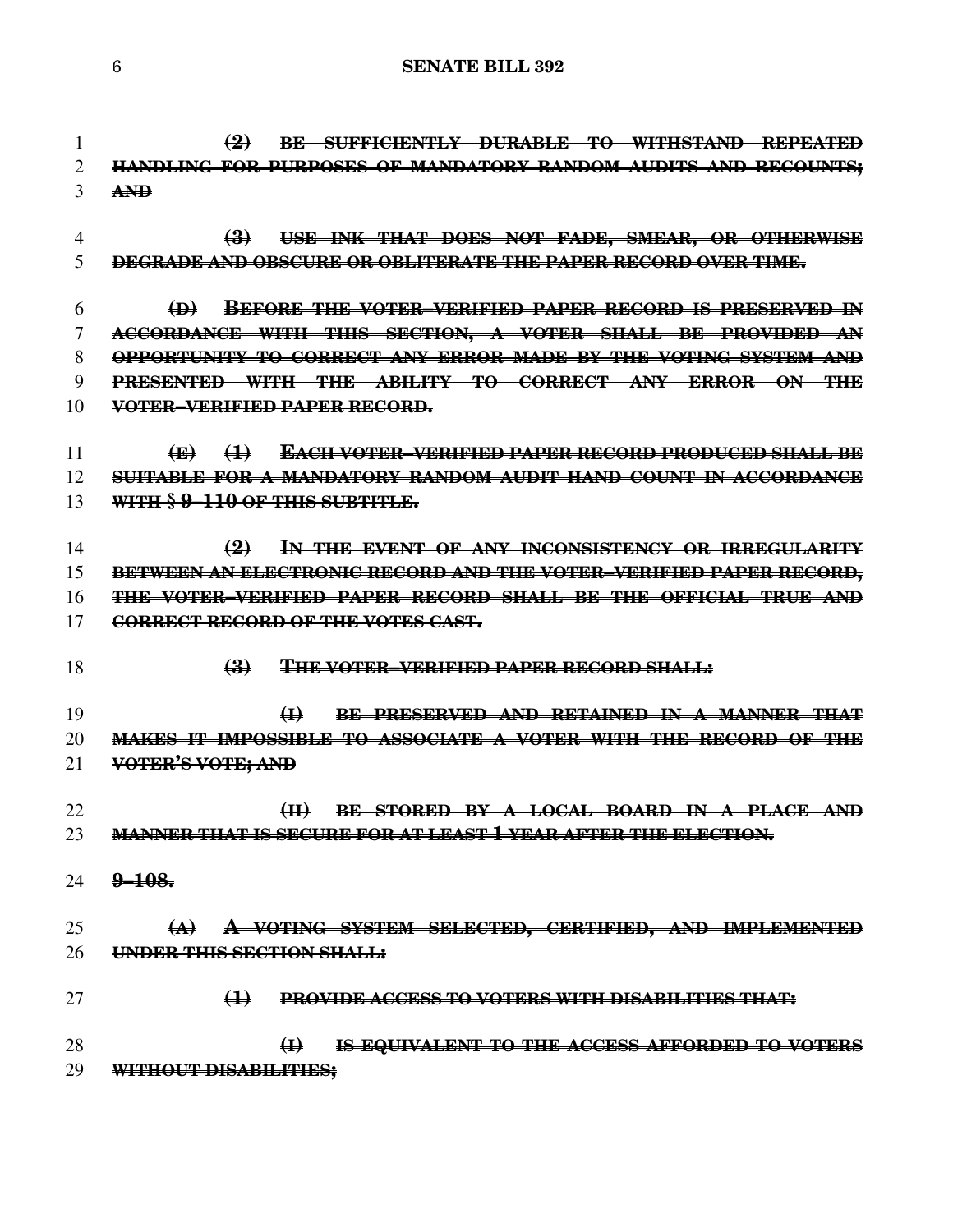**(2) BE SUFFICIENTLY DURABLE TO WITHSTAND REPEATED HANDLING FOR PURPOSES OF MANDATORY RANDOM AUDITS AND RECOUNTS; AND (3) USE INK THAT DOES NOT FADE, SMEAR, OR OTHERWISE DEGRADE AND OBSCURE OR OBLITERATE THE PAPER RECORD OVER TIME.**

 **(D) BEFORE THE VOTER–VERIFIED PAPER RECORD IS PRESERVED IN ACCORDANCE WITH THIS SECTION, A VOTER SHALL BE PROVIDED AN OPPORTUNITY TO CORRECT ANY ERROR MADE BY THE VOTING SYSTEM AND PRESENTED WITH THE ABILITY TO CORRECT ANY ERROR ON THE VOTER–VERIFIED PAPER RECORD.**

- **(E) (1) EACH VOTER–VERIFIED PAPER RECORD PRODUCED SHALL BE SUITABLE FOR A MANDATORY RANDOM AUDIT HAND COUNT IN ACCORDANCE WITH § 9–110 OF THIS SUBTITLE.**
- **(2) IN THE EVENT OF ANY INCONSISTENCY OR IRREGULARITY BETWEEN AN ELECTRONIC RECORD AND THE VOTER–VERIFIED PAPER RECORD, THE VOTER–VERIFIED PAPER RECORD SHALL BE THE OFFICIAL TRUE AND CORRECT RECORD OF THE VOTES CAST.**
- **(3) THE VOTER–VERIFIED PAPER RECORD SHALL:**

 **(I) BE PRESERVED AND RETAINED IN A MANNER THAT MAKES IT IMPOSSIBLE TO ASSOCIATE A VOTER WITH THE RECORD OF THE VOTER'S VOTE; AND**

 **(II) BE STORED BY A LOCAL BOARD IN A PLACE AND MANNER THAT IS SECURE FOR AT LEAST 1 YEAR AFTER THE ELECTION.**

**9–108.**

 **(A) A VOTING SYSTEM SELECTED, CERTIFIED, AND IMPLEMENTED UNDER THIS SECTION SHALL:**

**(1) PROVIDE ACCESS TO VOTERS WITH DISABILITIES THAT:**

 **(I) IS EQUIVALENT TO THE ACCESS AFFORDED TO VOTERS WITHOUT DISABILITIES;**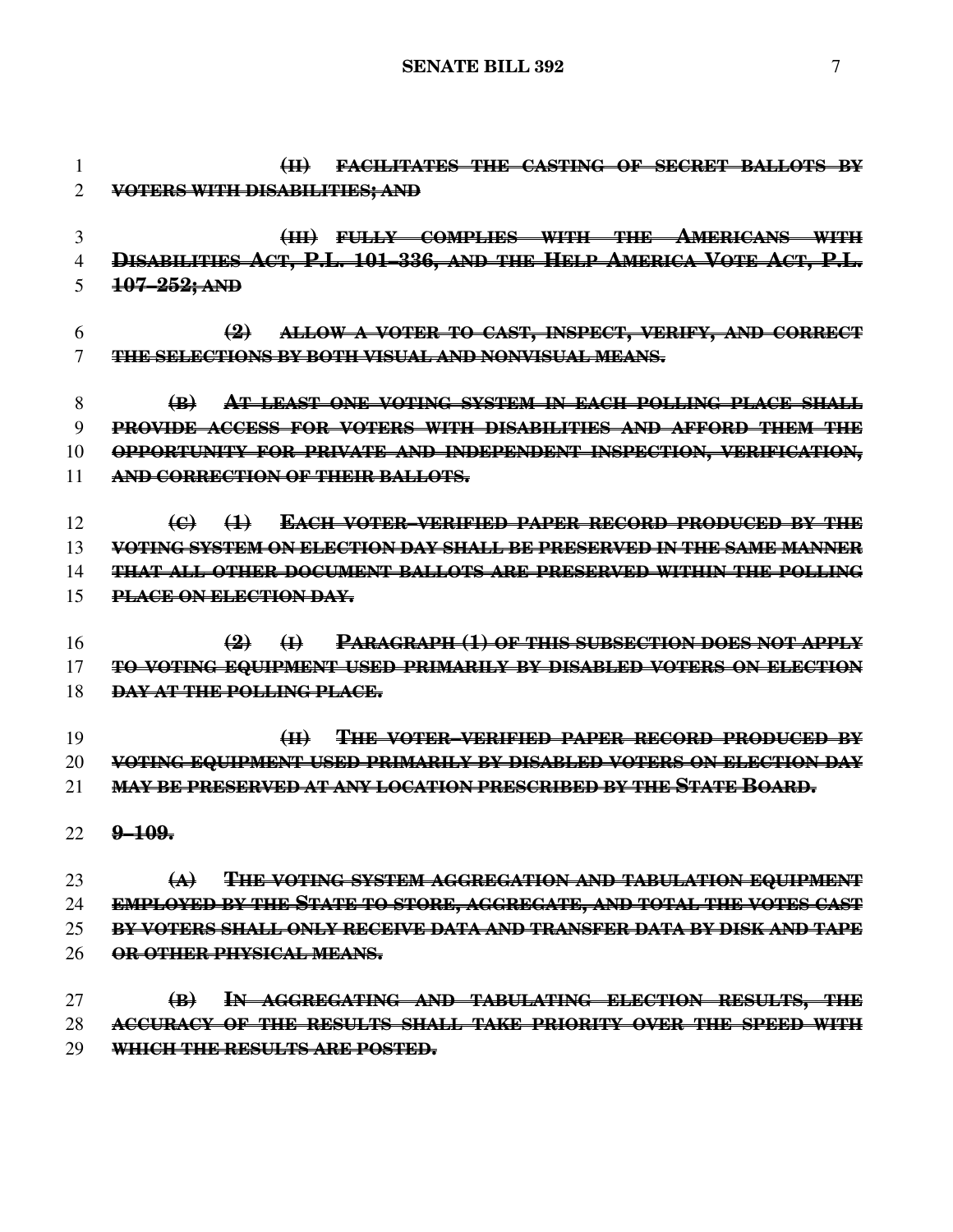**(II) FACILITATES THE CASTING OF SECRET BALLOTS BY VOTERS WITH DISABILITIES; AND (III) FULLY COMPLIES WITH THE AMERICANS WITH DISABILITIES ACT, P.L. 101–336, AND THE HELP AMERICA VOTE ACT, P.L. 107–252; AND (2) ALLOW A VOTER TO CAST, INSPECT, VERIFY, AND CORRECT THE SELECTIONS BY BOTH VISUAL AND NONVISUAL MEANS. (B) AT LEAST ONE VOTING SYSTEM IN EACH POLLING PLACE SHALL PROVIDE ACCESS FOR VOTERS WITH DISABILITIES AND AFFORD THEM THE OPPORTUNITY FOR PRIVATE AND INDEPENDENT INSPECTION, VERIFICATION, AND CORRECTION OF THEIR BALLOTS. (C) (1) EACH VOTER–VERIFIED PAPER RECORD PRODUCED BY THE VOTING SYSTEM ON ELECTION DAY SHALL BE PRESERVED IN THE SAME MANNER THAT ALL OTHER DOCUMENT BALLOTS ARE PRESERVED WITHIN THE POLLING PLACE ON ELECTION DAY. (2) (I) PARAGRAPH (1) OF THIS SUBSECTION DOES NOT APPLY TO VOTING EQUIPMENT USED PRIMARILY BY DISABLED VOTERS ON ELECTION DAY AT THE POLLING PLACE. (II) THE VOTER–VERIFIED PAPER RECORD PRODUCED BY VOTING EQUIPMENT USED PRIMARILY BY DISABLED VOTERS ON ELECTION DAY MAY BE PRESERVED AT ANY LOCATION PRESCRIBED BY THE STATE BOARD. 9–109. (A) THE VOTING SYSTEM AGGREGATION AND TABULATION EQUIPMENT EMPLOYED BY THE STATE TO STORE, AGGREGATE, AND TOTAL THE VOTES CAST BY VOTERS SHALL ONLY RECEIVE DATA AND TRANSFER DATA BY DISK AND TAPE OR OTHER PHYSICAL MEANS. (B) IN AGGREGATING AND TABULATING ELECTION RESULTS, THE ACCURACY OF THE RESULTS SHALL TAKE PRIORITY OVER THE SPEED WITH WHICH THE RESULTS ARE POSTED.**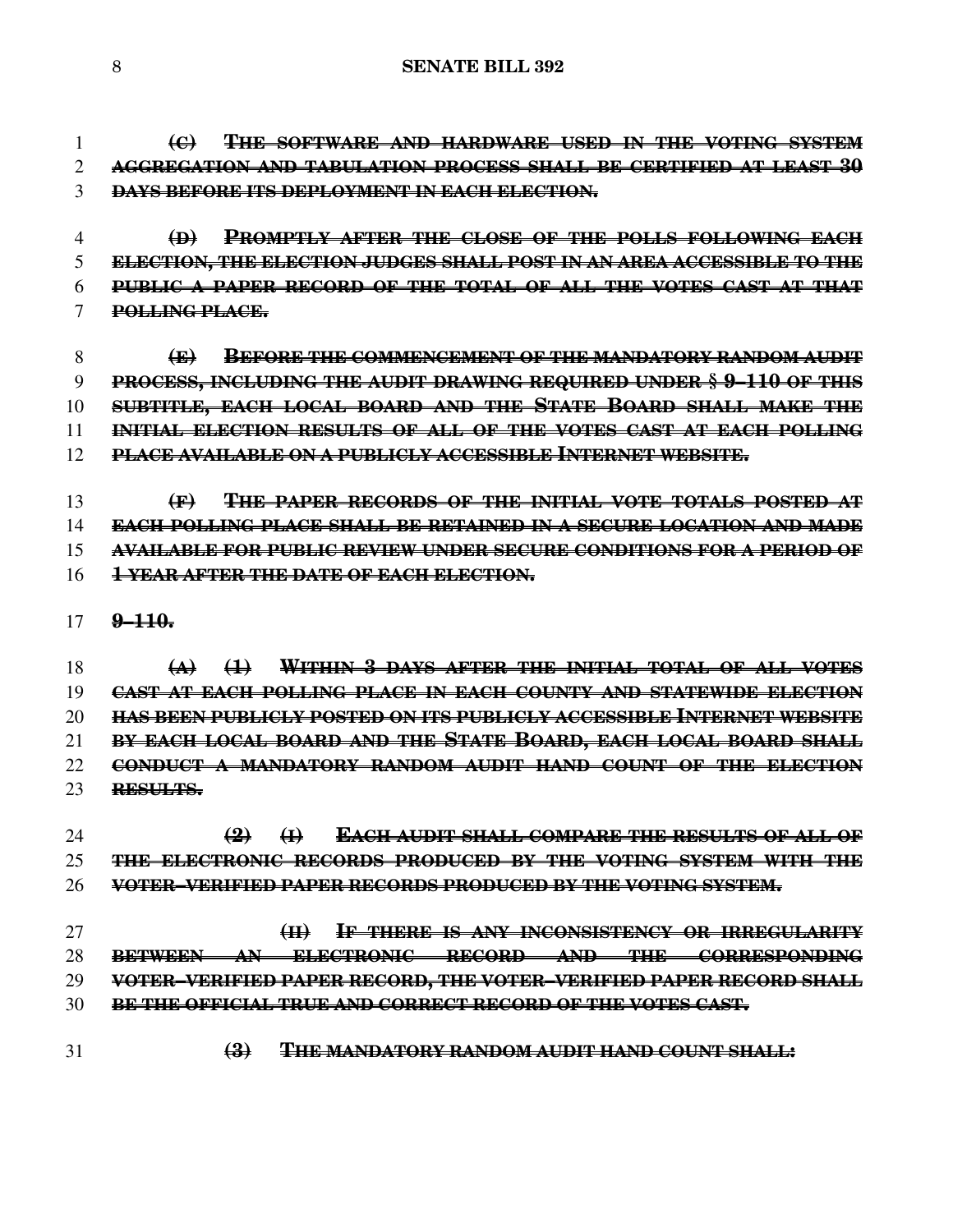**(C) THE SOFTWARE AND HARDWARE USED IN THE VOTING SYSTEM AGGREGATION AND TABULATION PROCESS SHALL BE CERTIFIED AT LEAST 30 DAYS BEFORE ITS DEPLOYMENT IN EACH ELECTION.**

- **(D) PROMPTLY AFTER THE CLOSE OF THE POLLS FOLLOWING EACH ELECTION, THE ELECTION JUDGES SHALL POST IN AN AREA ACCESSIBLE TO THE PUBLIC A PAPER RECORD OF THE TOTAL OF ALL THE VOTES CAST AT THAT POLLING PLACE.**
- **(E) BEFORE THE COMMENCEMENT OF THE MANDATORY RANDOM AUDIT PROCESS, INCLUDING THE AUDIT DRAWING REQUIRED UNDER § 9–110 OF THIS SUBTITLE, EACH LOCAL BOARD AND THE STATE BOARD SHALL MAKE THE INITIAL ELECTION RESULTS OF ALL OF THE VOTES CAST AT EACH POLLING PLACE AVAILABLE ON A PUBLICLY ACCESSIBLE INTERNET WEBSITE.**

 **(F) THE PAPER RECORDS OF THE INITIAL VOTE TOTALS POSTED AT EACH POLLING PLACE SHALL BE RETAINED IN A SECURE LOCATION AND MADE AVAILABLE FOR PUBLIC REVIEW UNDER SECURE CONDITIONS FOR A PERIOD OF 1 YEAR AFTER THE DATE OF EACH ELECTION.**

**9–110.**

 **(A) (1) WITHIN 3 DAYS AFTER THE INITIAL TOTAL OF ALL VOTES CAST AT EACH POLLING PLACE IN EACH COUNTY AND STATEWIDE ELECTION HAS BEEN PUBLICLY POSTED ON ITS PUBLICLY ACCESSIBLE INTERNET WEBSITE BY EACH LOCAL BOARD AND THE STATE BOARD, EACH LOCAL BOARD SHALL CONDUCT A MANDATORY RANDOM AUDIT HAND COUNT OF THE ELECTION RESULTS.**

 **(2) (I) EACH AUDIT SHALL COMPARE THE RESULTS OF ALL OF THE ELECTRONIC RECORDS PRODUCED BY THE VOTING SYSTEM WITH THE VOTER–VERIFIED PAPER RECORDS PRODUCED BY THE VOTING SYSTEM.**

 **(II) IF THERE IS ANY INCONSISTENCY OR IRREGULARITY BETWEEN AN ELECTRONIC RECORD AND THE CORRESPONDING VOTER–VERIFIED PAPER RECORD, THE VOTER–VERIFIED PAPER RECORD SHALL BE THE OFFICIAL TRUE AND CORRECT RECORD OF THE VOTES CAST.**

- 
- **(3) THE MANDATORY RANDOM AUDIT HAND COUNT SHALL:**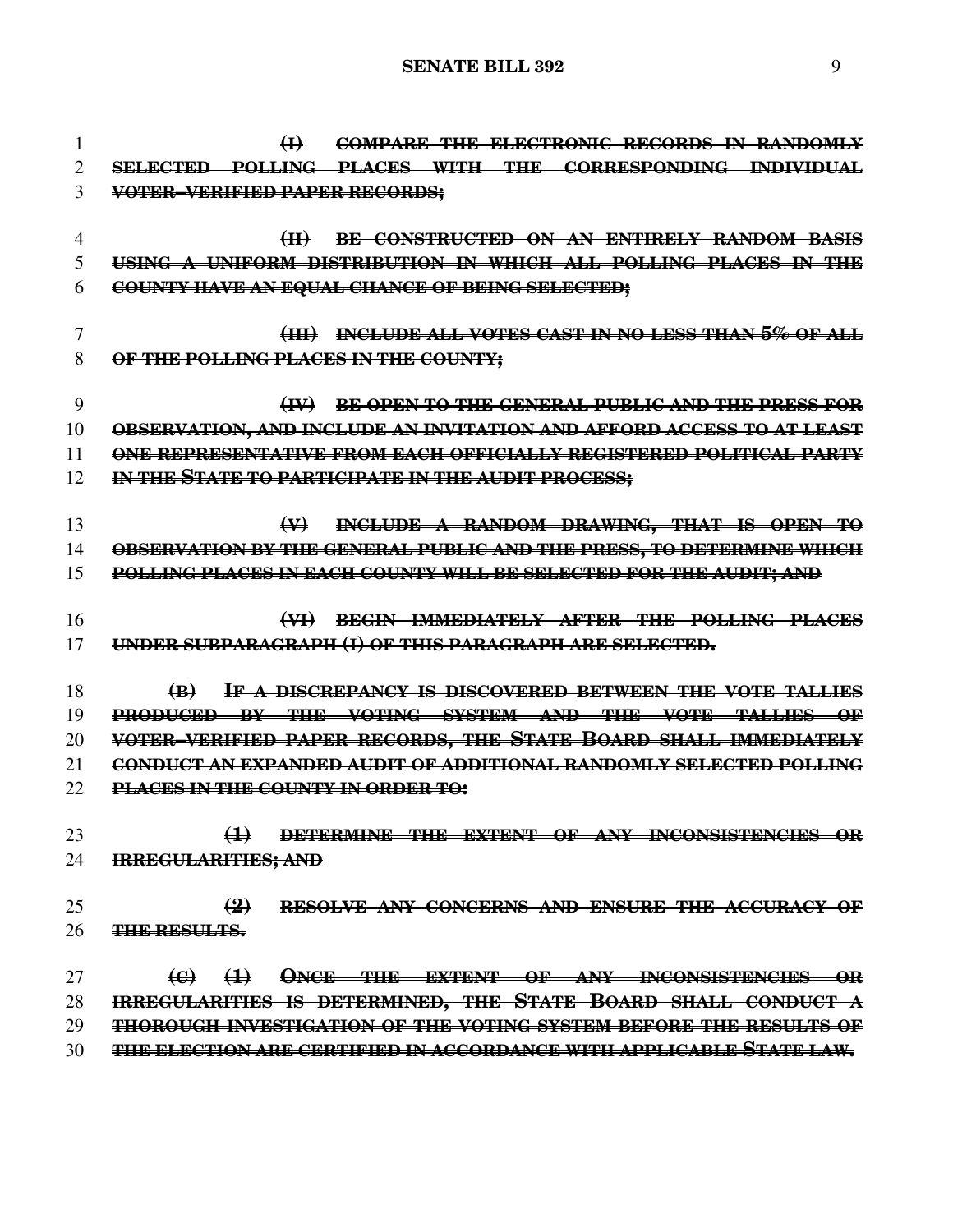**(I) COMPARE THE ELECTRONIC RECORDS IN RANDOMLY SELECTED POLLING PLACES WITH THE CORRESPONDING INDIVIDUAL VOTER–VERIFIED PAPER RECORDS; (II) BE CONSTRUCTED ON AN ENTIRELY RANDOM BASIS USING A UNIFORM DISTRIBUTION IN WHICH ALL POLLING PLACES IN THE COUNTY HAVE AN EQUAL CHANCE OF BEING SELECTED; (III) INCLUDE ALL VOTES CAST IN NO LESS THAN 5% OF ALL OF THE POLLING PLACES IN THE COUNTY; (IV) BE OPEN TO THE GENERAL PUBLIC AND THE PRESS FOR OBSERVATION, AND INCLUDE AN INVITATION AND AFFORD ACCESS TO AT LEAST ONE REPRESENTATIVE FROM EACH OFFICIALLY REGISTERED POLITICAL PARTY IN THE STATE TO PARTICIPATE IN THE AUDIT PROCESS; (V) INCLUDE A RANDOM DRAWING, THAT IS OPEN TO OBSERVATION BY THE GENERAL PUBLIC AND THE PRESS, TO DETERMINE WHICH POLLING PLACES IN EACH COUNTY WILL BE SELECTED FOR THE AUDIT; AND (VI) BEGIN IMMEDIATELY AFTER THE POLLING PLACES UNDER SUBPARAGRAPH (I) OF THIS PARAGRAPH ARE SELECTED. (B) IF A DISCREPANCY IS DISCOVERED BETWEEN THE VOTE TALLIES PRODUCED BY THE VOTING SYSTEM AND THE VOTE TALLIES OF VOTER–VERIFIED PAPER RECORDS, THE STATE BOARD SHALL IMMEDIATELY CONDUCT AN EXPANDED AUDIT OF ADDITIONAL RANDOMLY SELECTED POLLING PLACES IN THE COUNTY IN ORDER TO: (1) DETERMINE THE EXTENT OF ANY INCONSISTENCIES OR IRREGULARITIES; AND (2) RESOLVE ANY CONCERNS AND ENSURE THE ACCURACY OF THE RESULTS. (C) (1) ONCE THE EXTENT OF ANY INCONSISTENCIES OR IRREGULARITIES IS DETERMINED, THE STATE BOARD SHALL CONDUCT A THOROUGH INVESTIGATION OF THE VOTING SYSTEM BEFORE THE RESULTS OF THE ELECTION ARE CERTIFIED IN ACCORDANCE WITH APPLICABLE STATE LAW.**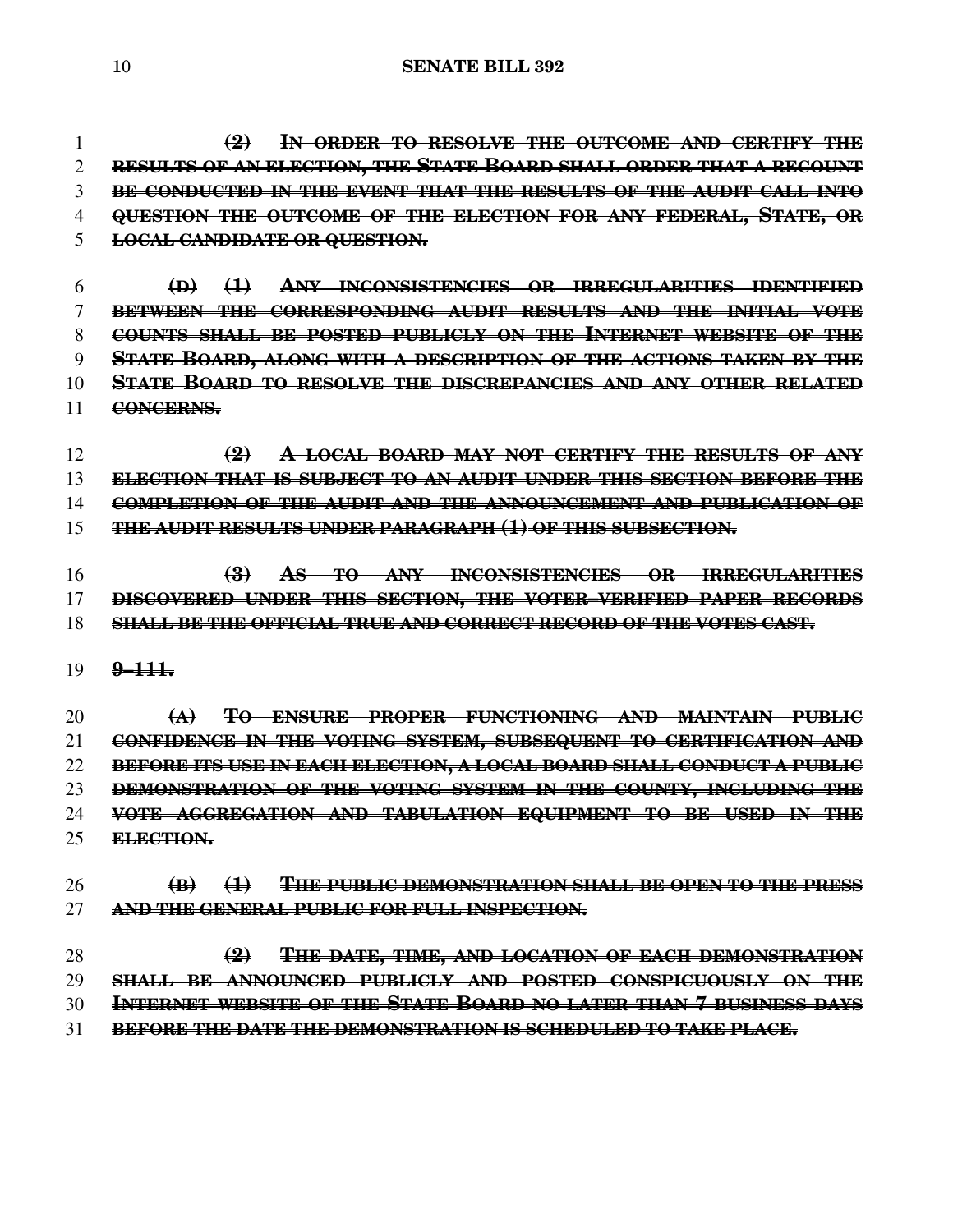**(2) IN ORDER TO RESOLVE THE OUTCOME AND CERTIFY THE RESULTS OF AN ELECTION, THE STATE BOARD SHALL ORDER THAT A RECOUNT BE CONDUCTED IN THE EVENT THAT THE RESULTS OF THE AUDIT CALL INTO QUESTION THE OUTCOME OF THE ELECTION FOR ANY FEDERAL, STATE, OR LOCAL CANDIDATE OR QUESTION.**

 **(D) (1) ANY INCONSISTENCIES OR IRREGULARITIES IDENTIFIED BETWEEN THE CORRESPONDING AUDIT RESULTS AND THE INITIAL VOTE COUNTS SHALL BE POSTED PUBLICLY ON THE INTERNET WEBSITE OF THE STATE BOARD, ALONG WITH A DESCRIPTION OF THE ACTIONS TAKEN BY THE STATE BOARD TO RESOLVE THE DISCREPANCIES AND ANY OTHER RELATED CONCERNS.**

 **(2) A LOCAL BOARD MAY NOT CERTIFY THE RESULTS OF ANY ELECTION THAT IS SUBJECT TO AN AUDIT UNDER THIS SECTION BEFORE THE COMPLETION OF THE AUDIT AND THE ANNOUNCEMENT AND PUBLICATION OF THE AUDIT RESULTS UNDER PARAGRAPH (1) OF THIS SUBSECTION.**

 **(3) AS TO ANY INCONSISTENCIES OR IRREGULARITIES DISCOVERED UNDER THIS SECTION, THE VOTER–VERIFIED PAPER RECORDS SHALL BE THE OFFICIAL TRUE AND CORRECT RECORD OF THE VOTES CAST.**

**9–111.**

 **(A) TO ENSURE PROPER FUNCTIONING AND MAINTAIN PUBLIC CONFIDENCE IN THE VOTING SYSTEM, SUBSEQUENT TO CERTIFICATION AND BEFORE ITS USE IN EACH ELECTION, A LOCAL BOARD SHALL CONDUCT A PUBLIC DEMONSTRATION OF THE VOTING SYSTEM IN THE COUNTY, INCLUDING THE VOTE AGGREGATION AND TABULATION EQUIPMENT TO BE USED IN THE ELECTION.**

 **(B) (1) THE PUBLIC DEMONSTRATION SHALL BE OPEN TO THE PRESS AND THE GENERAL PUBLIC FOR FULL INSPECTION.**

 **(2) THE DATE, TIME, AND LOCATION OF EACH DEMONSTRATION SHALL BE ANNOUNCED PUBLICLY AND POSTED CONSPICUOUSLY ON THE INTERNET WEBSITE OF THE STATE BOARD NO LATER THAN 7 BUSINESS DAYS BEFORE THE DATE THE DEMONSTRATION IS SCHEDULED TO TAKE PLACE.**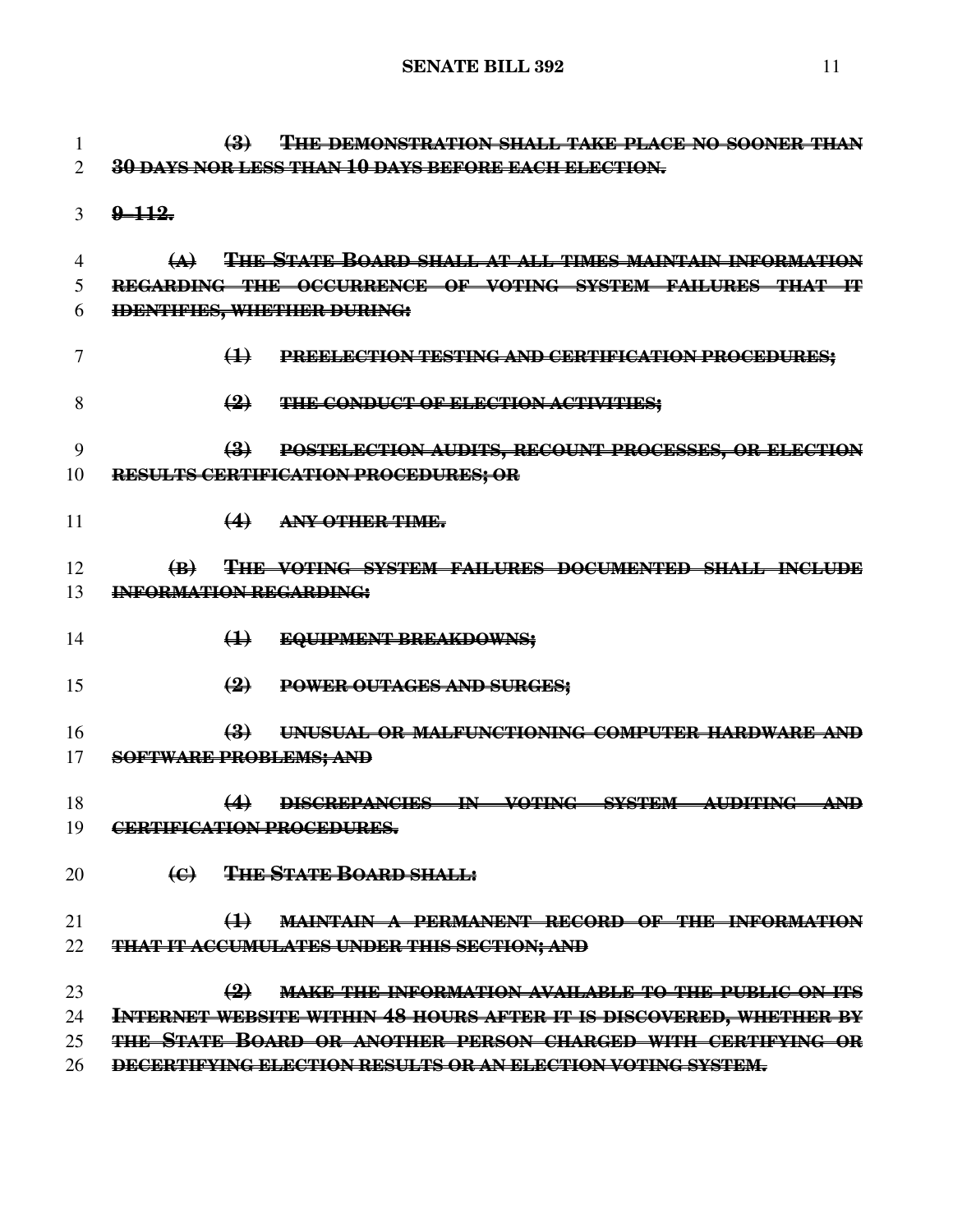**(3) THE DEMONSTRATION SHALL TAKE PLACE NO SOONER THAN 30 DAYS NOR LESS THAN 10 DAYS BEFORE EACH ELECTION. 9–112.**

 **(A) THE STATE BOARD SHALL AT ALL TIMES MAINTAIN INFORMATION REGARDING THE OCCURRENCE OF VOTING SYSTEM FAILURES THAT IT IDENTIFIES, WHETHER DURING:**

- **(1) PREELECTION TESTING AND CERTIFICATION PROCEDURES;**
- **(2) THE CONDUCT OF ELECTION ACTIVITIES;**
- **(3) POSTELECTION AUDITS, RECOUNT PROCESSES, OR ELECTION RESULTS CERTIFICATION PROCEDURES; OR**
- **(4) ANY OTHER TIME.**

 **(B) THE VOTING SYSTEM FAILURES DOCUMENTED SHALL INCLUDE INFORMATION REGARDING:**

- **(1) EQUIPMENT BREAKDOWNS;**
- **(2) POWER OUTAGES AND SURGES;**

 **(3) UNUSUAL OR MALFUNCTIONING COMPUTER HARDWARE AND SOFTWARE PROBLEMS; AND**

- **(4) DISCREPANCIES IN VOTING SYSTEM AUDITING AND CERTIFICATION PROCEDURES.**
- **(C) THE STATE BOARD SHALL:**

### **(1) MAINTAIN A PERMANENT RECORD OF THE INFORMATION THAT IT ACCUMULATES UNDER THIS SECTION; AND**

- **(2) MAKE THE INFORMATION AVAILABLE TO THE PUBLIC ON ITS INTERNET WEBSITE WITHIN 48 HOURS AFTER IT IS DISCOVERED, WHETHER BY THE STATE BOARD OR ANOTHER PERSON CHARGED WITH CERTIFYING OR**
- **DECERTIFYING ELECTION RESULTS OR AN ELECTION VOTING SYSTEM.**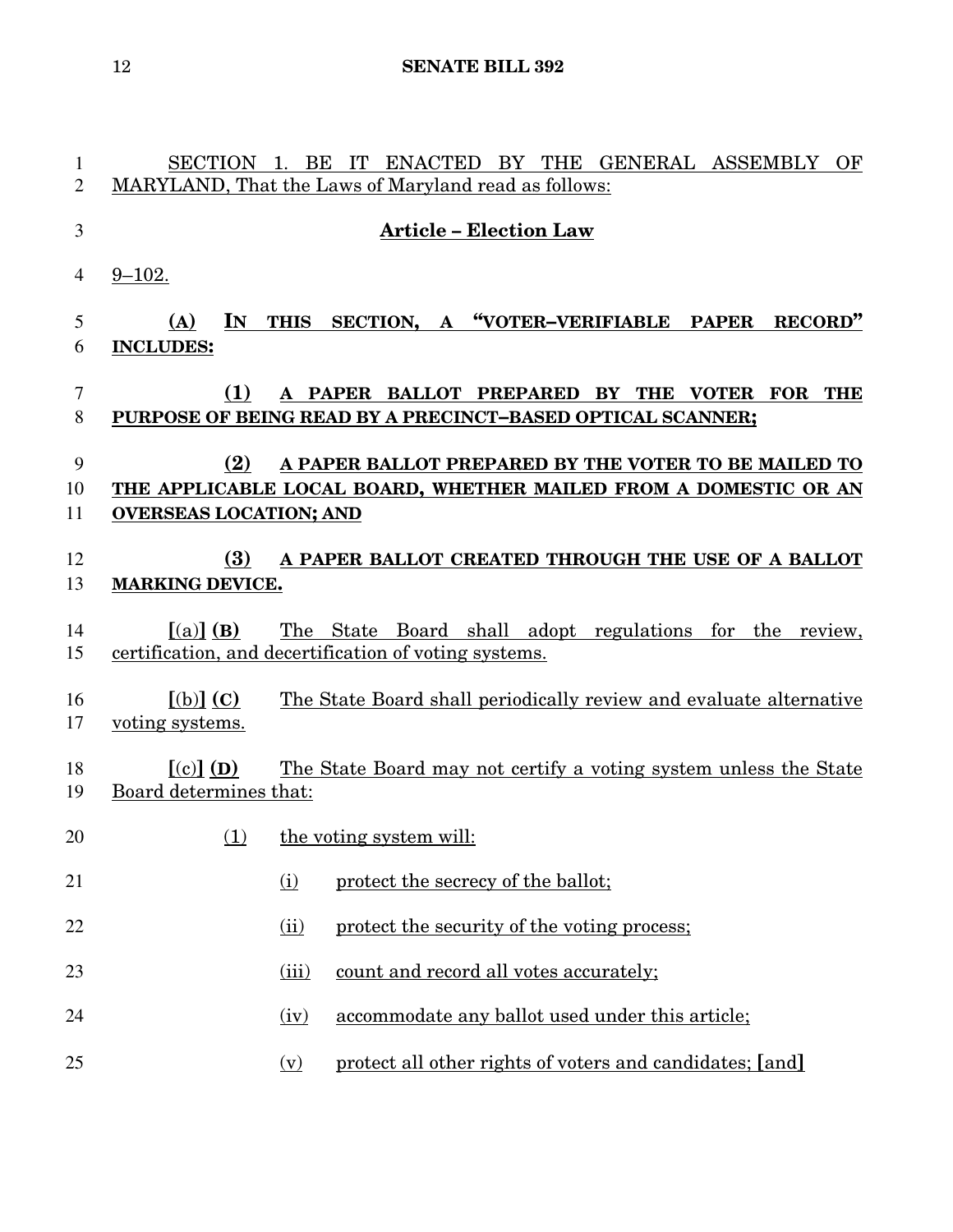| 1        | SECTION 1. BE                  |                   | IT ENACTED BY THE GENERAL ASSEMBLY<br>OF                                                                   |
|----------|--------------------------------|-------------------|------------------------------------------------------------------------------------------------------------|
| 2        |                                |                   | MARYLAND, That the Laws of Maryland read as follows:                                                       |
| 3        |                                |                   | <b>Article - Election Law</b>                                                                              |
| 4        | $9 - 102.$                     |                   |                                                                                                            |
| 5        | IN<br>(A)                      | <b>THIS</b>       | SECTION, A "VOTER-VERIFIABLE PAPER<br>RECORD"                                                              |
| 6        | <b>INCLUDES:</b>               |                   |                                                                                                            |
| 7<br>8   | <b>(1)</b>                     |                   | A PAPER BALLOT PREPARED BY THE VOTER FOR THE<br>PURPOSE OF BEING READ BY A PRECINCT-BASED OPTICAL SCANNER; |
| 9        | (2)                            |                   | A PAPER BALLOT PREPARED BY THE VOTER TO BE MAILED TO                                                       |
| 10       |                                |                   | THE APPLICABLE LOCAL BOARD, WHETHER MAILED FROM A DOMESTIC OR AN                                           |
| 11       | <b>OVERSEAS LOCATION; AND</b>  |                   |                                                                                                            |
| 12<br>13 | (3)<br><b>MARKING DEVICE.</b>  |                   | A PAPER BALLOT CREATED THROUGH THE USE OF A BALLOT                                                         |
| 14       | $[(a)]$ (B)                    |                   | The State Board shall adopt regulations for the review,                                                    |
| 15       |                                |                   | certification, and decertification of voting systems.                                                      |
| 16<br>17 | $[(b)]$ (C)<br>voting systems. |                   | The State Board shall periodically review and evaluate alternative                                         |
| 18       | $[(c)]$ (D)                    |                   | The State Board may not certify a voting system unless the State                                           |
| 19       | Board determines that:         |                   |                                                                                                            |
| 20       | (1)                            |                   | the voting system will:                                                                                    |
| 21       |                                | (i)               | protect the secrecy of the ballot;                                                                         |
| 22       |                                | (ii)              | protect the security of the voting process;                                                                |
| 23       |                                | (iii)             | count and record all votes accurately;                                                                     |
| 24       |                                | (iv)              | accommodate any ballot used under this article;                                                            |
| 25       |                                | $(\underline{v})$ | protect all other rights of voters and candidates; [and]                                                   |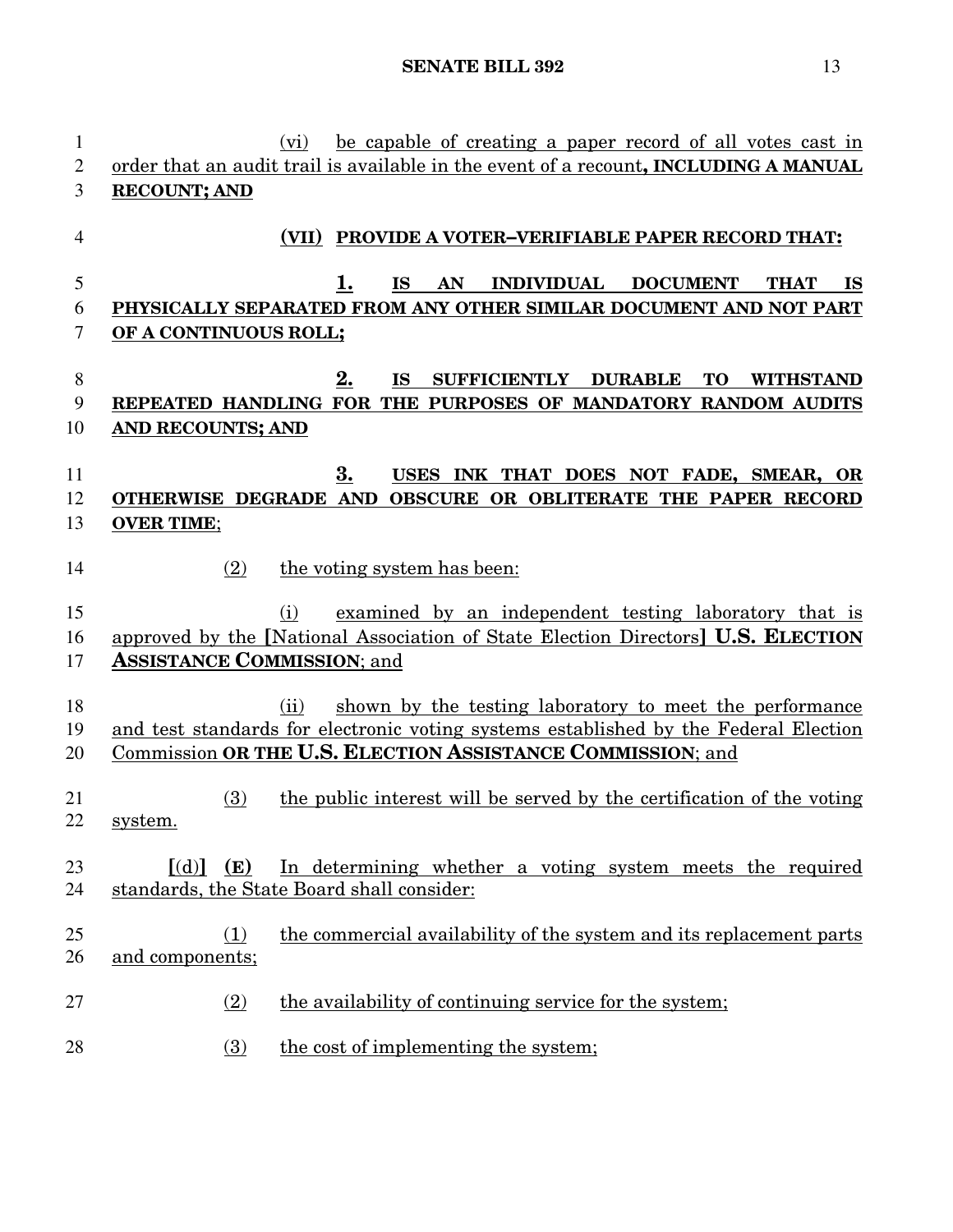| $\mathbf{1}$   | be capable of creating a paper record of all votes cast in<br>(vi)                        |
|----------------|-------------------------------------------------------------------------------------------|
| 2              | order that an audit trail is available in the event of a recount, INCLUDING A MANUAL      |
| 3              | <b>RECOUNT; AND</b>                                                                       |
| $\overline{4}$ | PROVIDE A VOTER-VERIFIABLE PAPER RECORD THAT:<br>(VII)                                    |
| 5              | 1.<br><b>INDIVIDUAL</b><br><b>DOCUMENT</b><br><b>IS</b><br>AN<br><b>THAT</b><br><b>IS</b> |
| 6              | PHYSICALLY SEPARATED FROM ANY OTHER SIMILAR DOCUMENT AND NOT PART                         |
| 7              | OF A CONTINUOUS ROLL;                                                                     |
| 8              | 2.<br><b>DURABLE</b><br><b>IS</b><br><b>SUFFICIENTLY</b><br><b>TO</b><br><b>WITHSTAND</b> |
| 9              | REPEATED HANDLING FOR THE PURPOSES OF MANDATORY RANDOM AUDITS                             |
| 10             | AND RECOUNTS; AND                                                                         |
|                |                                                                                           |
| 11             | 3.<br>USES INK THAT DOES NOT FADE, SMEAR, OR                                              |
| 12             | OTHERWISE DEGRADE AND<br>OBSCURE OR OBLITERATE THE PAPER RECORD                           |
| 13             | <b>OVER TIME;</b>                                                                         |
| 14             | (2)<br>the voting system has been:                                                        |
| 15             | examined by an independent testing laboratory that is<br>(i)                              |
| 16             | approved by the [National Association of State Election Directors] U.S. ELECTION          |
| 17             | <b>ASSISTANCE COMMISSION; and</b>                                                         |
|                |                                                                                           |
| 18             | shown by the testing laboratory to meet the performance<br>(ii)                           |
| 19             | and test standards for electronic voting systems established by the Federal Election      |
| 20             | Commission OR THE U.S. ELECTION ASSISTANCE COMMISSION; and                                |
| 21<br>22       | the public interest will be served by the certification of the voting<br>(3)<br>system.   |
|                |                                                                                           |
| 23             | In determining whether a voting system meets the required<br>$\lceil (d) \rceil$ (E)      |
| 24             | standards, the State Board shall consider:                                                |
| 25             | the commercial availability of the system and its replacement parts<br>(1)                |
| 26             | and components;                                                                           |
| 27             | the availability of continuing service for the system;<br>(2)                             |
| 28             | the cost of implementing the system;<br>(3)                                               |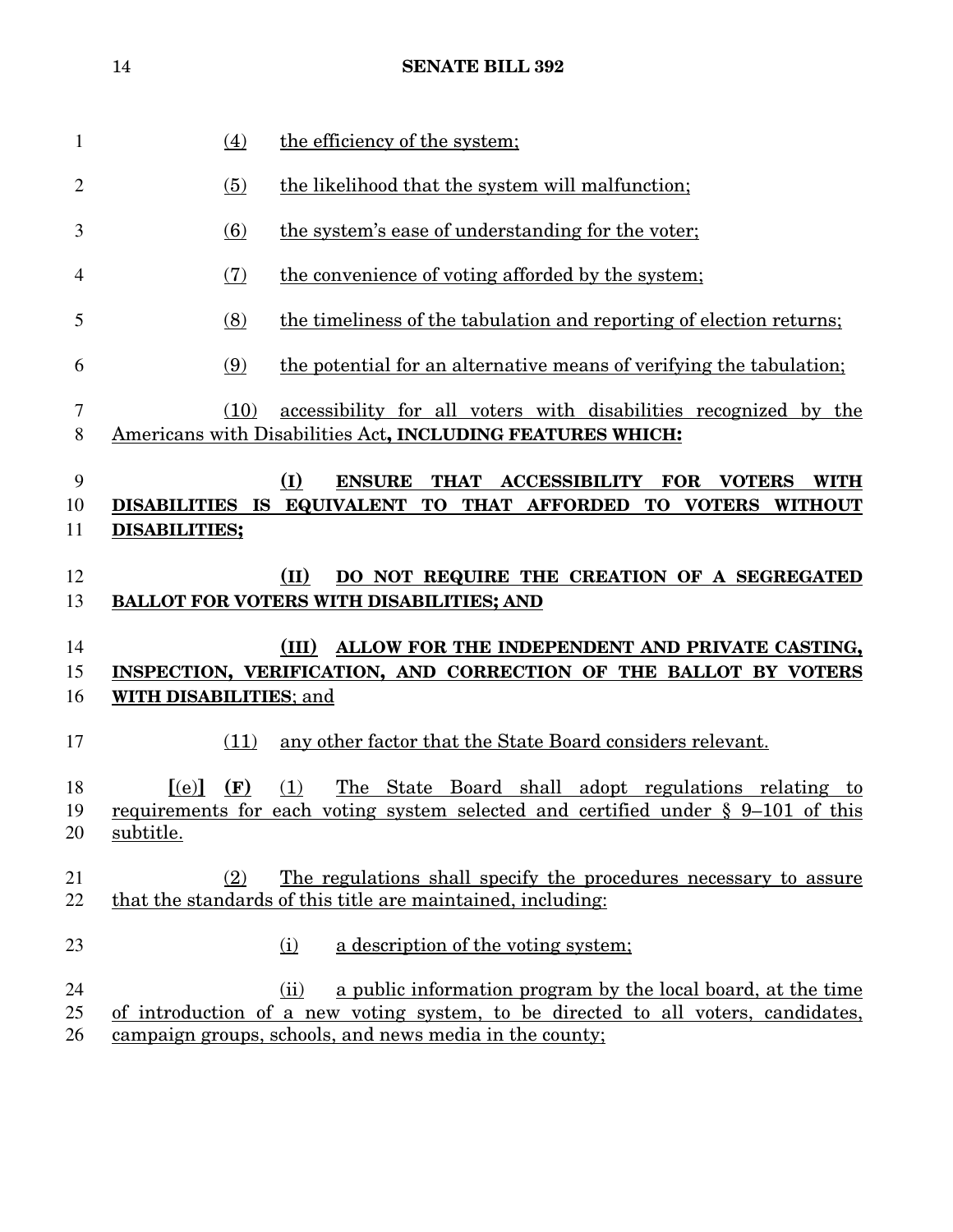| 1              | (4)                       | the efficiency of the system;                                                                                                                  |
|----------------|---------------------------|------------------------------------------------------------------------------------------------------------------------------------------------|
| $\overline{2}$ | (5)                       | the likelihood that the system will malfunction;                                                                                               |
| 3              | (6)                       | the system's ease of understanding for the voter;                                                                                              |
| 4              | (7)                       | the convenience of voting afforded by the system;                                                                                              |
| 5              | (8)                       | the timeliness of the tabulation and reporting of election returns;                                                                            |
| 6              | (9)                       | the potential for an alternative means of verifying the tabulation;                                                                            |
| $\tau$<br>8    | (10)                      | accessibility for all voters with disabilities recognized by the<br>Americans with Disabilities Act, INCLUDING FEATURES WHICH:                 |
| 9<br>10<br>11  | <b>DISABILITIES;</b>      | (I)<br><b>ENSURE</b><br>THAT ACCESSIBILITY FOR VOTERS<br><b>WITH</b><br>DISABILITIES IS EQUIVALENT TO THAT AFFORDED TO VOTERS WITHOUT          |
| 12<br>13       |                           | (II)<br>DO NOT REQUIRE THE CREATION OF A SEGREGATED<br><b>BALLOT FOR VOTERS WITH DISABILITIES; AND</b>                                         |
| 14<br>15       |                           | ALLOW FOR THE INDEPENDENT AND PRIVATE CASTING,<br>(III)<br>INSPECTION, VERIFICATION, AND CORRECTION OF THE BALLOT BY VOTERS                    |
| 16             | WITH DISABILITIES; and    |                                                                                                                                                |
| 17             | (11)                      | any other factor that the State Board considers relevant.                                                                                      |
| 18<br>19<br>20 | [(e)]<br>(F)<br>subtitle. | The State Board shall adopt regulations relating to<br>(1)<br>requirements for each voting system selected and certified under § 9-101 of this |
| 21<br>22       | (2)                       | The regulations shall specify the procedures necessary to assure<br>that the standards of this title are maintained, including:                |
| 23             |                           | a description of the voting system;<br>(i)                                                                                                     |
|                |                           |                                                                                                                                                |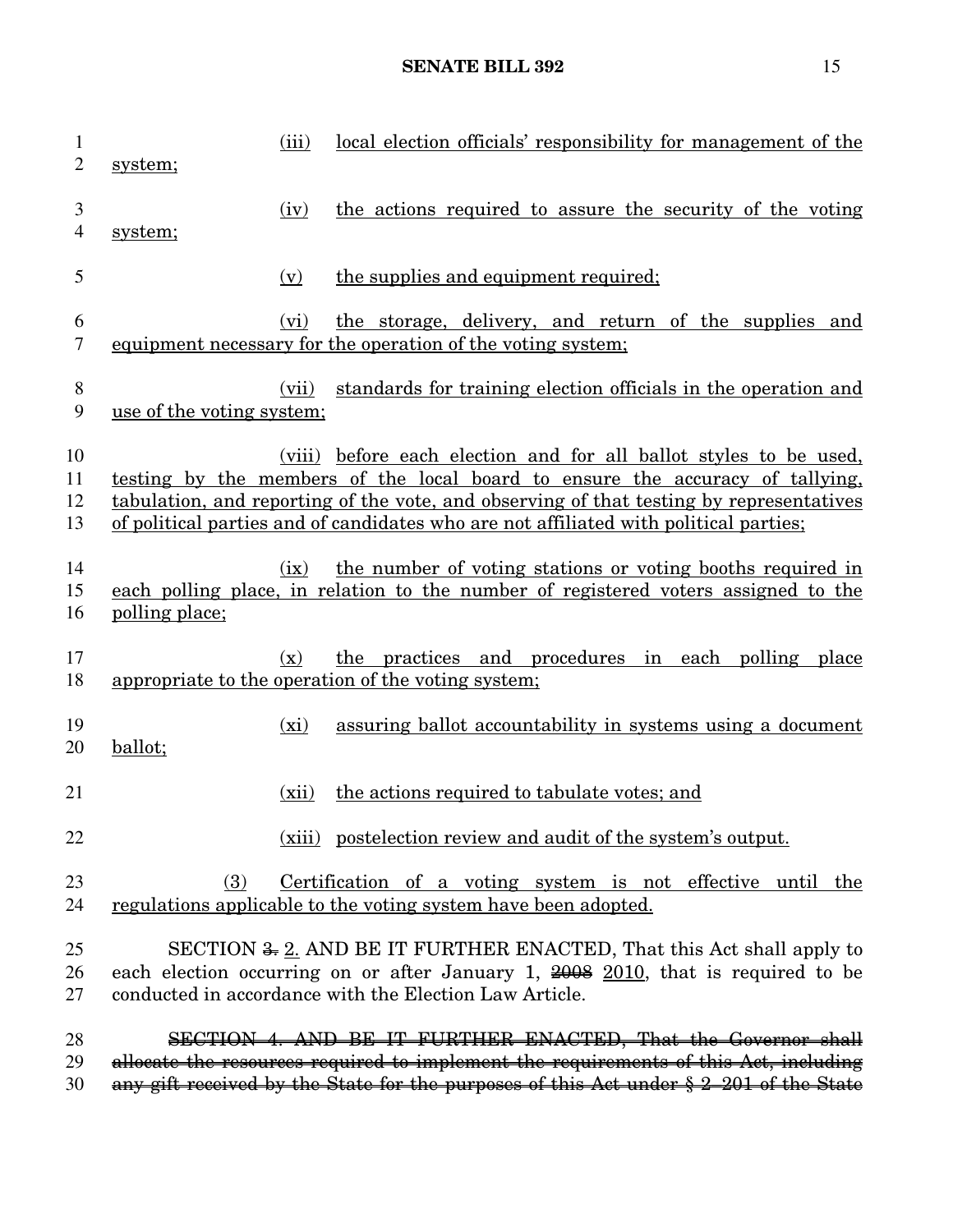# **SENATE BILL 392** 15

| $\mathbf{1}$<br>$\overline{2}$ | system;                   | (iii)          | local election officials' responsibility for management of the                                                                                                                                                                                                                                                                         |
|--------------------------------|---------------------------|----------------|----------------------------------------------------------------------------------------------------------------------------------------------------------------------------------------------------------------------------------------------------------------------------------------------------------------------------------------|
| 3<br>4                         | system;                   | (iv)           | the actions required to assure the security of the voting                                                                                                                                                                                                                                                                              |
| 5                              |                           | (v)            | the supplies and equipment required;                                                                                                                                                                                                                                                                                                   |
| 6<br>7                         |                           | (vi)           | the storage, delivery, and return of the supplies and<br>equipment necessary for the operation of the voting system;                                                                                                                                                                                                                   |
| 8<br>9                         | use of the voting system; | (vii)          | standards for training election officials in the operation and                                                                                                                                                                                                                                                                         |
| 10<br>11<br>12<br>13           |                           |                | (viii) before each election and for all ballot styles to be used,<br>testing by the members of the local board to ensure the accuracy of tallying,<br>tabulation, and reporting of the vote, and observing of that testing by representatives<br>of political parties and of candidates who are not affiliated with political parties; |
| 14<br>15<br>16                 | polling place;            | (ix)           | the number of voting stations or voting booths required in<br>each polling place, in relation to the number of registered voters assigned to the                                                                                                                                                                                       |
| 17<br>18                       |                           | $(\mathbf{x})$ | the practices and procedures in each polling<br>place<br>appropriate to the operation of the voting system;                                                                                                                                                                                                                            |
| 19<br>20                       | ballot;                   | (xi)           | assuring ballot accountability in systems using a document                                                                                                                                                                                                                                                                             |
| 21                             |                           | (xii)          | the actions required to tabulate votes; and                                                                                                                                                                                                                                                                                            |
| 22                             |                           |                | (xiii) postelection review and audit of the system's output.                                                                                                                                                                                                                                                                           |
| 23<br>24                       | (3)                       |                | Certification of a voting system is not effective until the<br>regulations applicable to the voting system have been adopted.                                                                                                                                                                                                          |
| 25<br>26<br>27                 |                           |                | SECTION <del>3, 2</del> . AND BE IT FURTHER ENACTED, That this Act shall apply to<br>each election occurring on or after January 1, $\frac{2008}{2010}$ , that is required to be<br>conducted in accordance with the Election Law Article.                                                                                             |
| 28<br>29<br>30                 |                           |                | SECTION 4. AND BE IT FURTHER ENACTED, That the Governor shall<br>allocate the resources required to implement the requirements of this Act, including<br>any gift received by the State for the purposes of this Act under § 2-201 of the State                                                                                        |